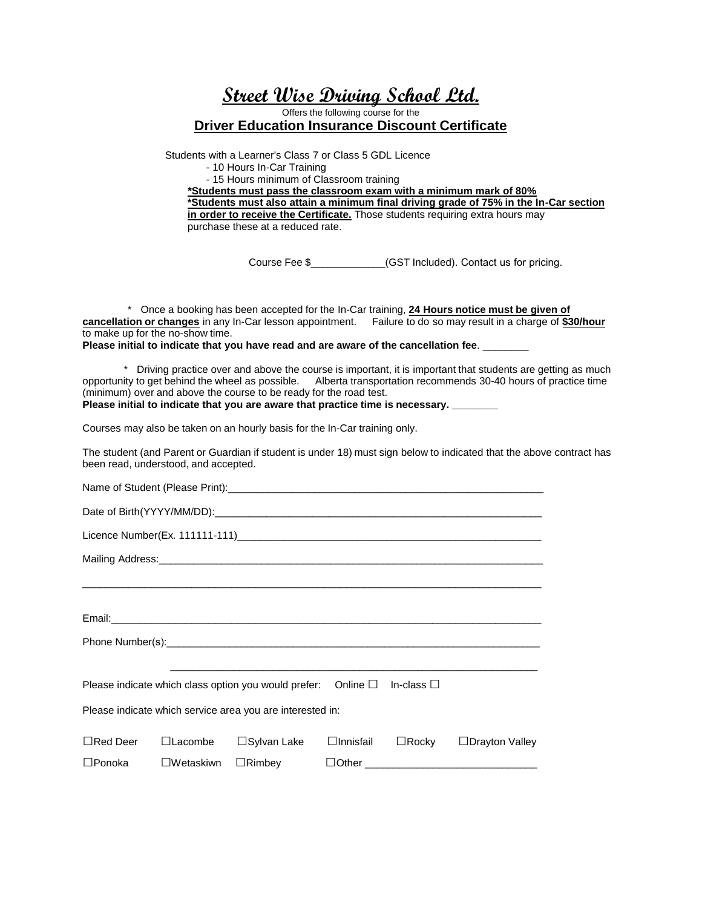**Street Wise Driving School Ltd.**

Offers the following course for the

**Driver Education Insurance Discount Certificate**

Students with a Learner's Class 7 or Class 5 GDL Licence

- 10 Hours In-Car Training

- 15 Hours minimum of Classroom training

**\*Students must pass the classroom exam with a minimum mark of 80% \*Students must also attain a minimum final driving grade of 75% in the In-Car section**

**in order to receive the Certificate.** Those students requiring extra hours may purchase these at a reduced rate.

Course Fee \$\_\_\_\_\_\_\_\_\_\_\_\_\_(GST Included). Contact us for pricing.

\* Once a booking has been accepted for the In-Car training, **24 Hours notice must be given of cancellation or changes** in any In-Car lesson appointment. Failure to do so may result in a charge of **\$30/hour** to make up for the no-show time.

**Please initial to indicate that you have read and are aware of the cancellation fee**. \_\_\_\_\_\_\_\_

\* Driving practice over and above the course is important, it is important that students are getting as much opportunity to get behind the wheel as possible. Alberta transportation recommends 30-40 hours of practice time (minimum) over and above the course to be ready for the road test. **Please initial to indicate that you are aware that practice time is necessary. \_\_\_\_\_\_\_\_** 

Courses may also be taken on an hourly basis for the In-Car training only.

The student (and Parent or Guardian if student is under 18) must sign below to indicated that the above contract has been read, understood, and accepted.

| Please indicate which service area you are interested in: |  |  |  |  |                                                         |
|-----------------------------------------------------------|--|--|--|--|---------------------------------------------------------|
| $\Box$ Red Deer                                           |  |  |  |  | □Lacombe □Sylvan Lake □Innisfail □Rocky □Drayton Valley |
|                                                           |  |  |  |  |                                                         |